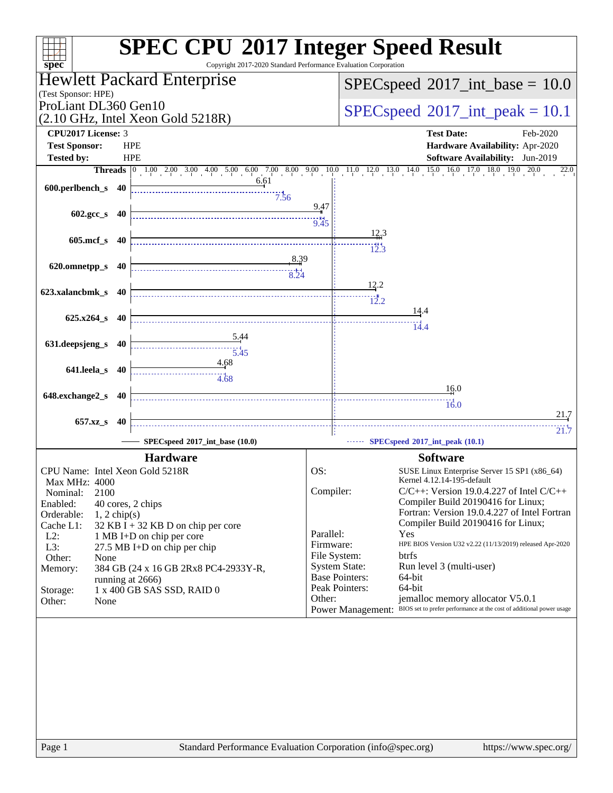| $spec^*$                                                                                                                                                                                                                                                                                                                                                                                                                                     | <b>SPEC CPU®2017 Integer Speed Result</b><br>Copyright 2017-2020 Standard Performance Evaluation Corporation                                                                                          |
|----------------------------------------------------------------------------------------------------------------------------------------------------------------------------------------------------------------------------------------------------------------------------------------------------------------------------------------------------------------------------------------------------------------------------------------------|-------------------------------------------------------------------------------------------------------------------------------------------------------------------------------------------------------|
| Hewlett Packard Enterprise<br>(Test Sponsor: HPE)                                                                                                                                                                                                                                                                                                                                                                                            | $SPEC speed^{\circ}2017\_int\_base = 10.0$                                                                                                                                                            |
| ProLiant DL360 Gen10<br>$(2.10 \text{ GHz}, \text{Intel Xeon Gold } 5218\text{R})$                                                                                                                                                                                                                                                                                                                                                           | $SPEC speed^{\circ}2017\_int\_peak = 10.1$                                                                                                                                                            |
| CPU2017 License: 3<br><b>Test Sponsor:</b><br><b>HPE</b>                                                                                                                                                                                                                                                                                                                                                                                     | <b>Test Date:</b><br>Feb-2020<br>Hardware Availability: Apr-2020                                                                                                                                      |
| <b>Tested by:</b><br><b>HPE</b>                                                                                                                                                                                                                                                                                                                                                                                                              | <b>Software Availability:</b> Jun-2019                                                                                                                                                                |
| - 6.61                                                                                                                                                                                                                                                                                                                                                                                                                                       | <b>Threads</b> $\begin{bmatrix} 0 & 1.00 & 2.00 & 3.00 & 4.00 & 5.00 & 6.00 & 7.00 & 8.00 & 9.00 & 10.0 & 11.0 & 12.0 & 13.0 & 14.0 & 15.0 & 16.0 & 17.0 & 18.0 & 19.0 \end{bmatrix}$<br>20.0<br>22.0 |
| 600.perlbench_s 40<br>7.56                                                                                                                                                                                                                                                                                                                                                                                                                   |                                                                                                                                                                                                       |
| 602.gcc_s 40                                                                                                                                                                                                                                                                                                                                                                                                                                 | 9.47<br>9.45                                                                                                                                                                                          |
| 605.mcf_s 40                                                                                                                                                                                                                                                                                                                                                                                                                                 | $\frac{12.3}{1}$                                                                                                                                                                                      |
| <u>8.39</u>                                                                                                                                                                                                                                                                                                                                                                                                                                  | 12.3                                                                                                                                                                                                  |
| 620.omnetpp_s 40                                                                                                                                                                                                                                                                                                                                                                                                                             | 12.2                                                                                                                                                                                                  |
| 623.xalancbmk_s 40                                                                                                                                                                                                                                                                                                                                                                                                                           | 12.2                                                                                                                                                                                                  |
| $625.x264_s$ 40                                                                                                                                                                                                                                                                                                                                                                                                                              | <u>14</u> .4                                                                                                                                                                                          |
| $\frac{5.44}{4}$                                                                                                                                                                                                                                                                                                                                                                                                                             | 14.4                                                                                                                                                                                                  |
| 631.deepsjeng_s<br>40<br>$\begin{array}{c}\n 3.45 \\  \hline\n 5.45\n \end{array}$                                                                                                                                                                                                                                                                                                                                                           |                                                                                                                                                                                                       |
| 4.68<br>641.leela_s 40<br>$\begin{array}{c c}\n\hline\n\hline\n\text{} & \text{} \\ \hline\n\text{} & \text{} \\ \hline\n\text{} & \text{} \\ \hline\n\text{} & \text{} \\ \hline\n\text{} & \text{} \\ \hline\n\text{} & \text{} \\ \hline\n\text{} & \text{} \\ \hline\n\text{} & \text{} \\ \hline\n\text{} & \text{} \\ \hline\n\text{} & \text{} \\ \hline\n\text{} & \text{} \\ \hline\n\text{} & \text{} \\ \hline\n\text{} & \text{$ |                                                                                                                                                                                                       |
| 648.exchange2_s 40                                                                                                                                                                                                                                                                                                                                                                                                                           | 16.0                                                                                                                                                                                                  |
|                                                                                                                                                                                                                                                                                                                                                                                                                                              | $\frac{1}{16.0}$<br>21.7                                                                                                                                                                              |
| 657.xz <sub>_8</sub> 40<br>SPECspeed*2017_int_base (10.0)                                                                                                                                                                                                                                                                                                                                                                                    | 21.7<br>SPECspeed®2017_int_peak (10.1)                                                                                                                                                                |
| <b>Hardware</b>                                                                                                                                                                                                                                                                                                                                                                                                                              | <b>Software</b>                                                                                                                                                                                       |
| CPU Name: Intel Xeon Gold 5218R<br>Max MHz: 4000                                                                                                                                                                                                                                                                                                                                                                                             | OS:<br>SUSE Linux Enterprise Server 15 SP1 (x86_64)<br>Kernel 4.12.14-195-default                                                                                                                     |
| 2100<br>Nominal:<br>Enabled:                                                                                                                                                                                                                                                                                                                                                                                                                 | Compiler:<br>$C/C++$ : Version 19.0.4.227 of Intel $C/C++$<br>Compiler Build 20190416 for Linux;                                                                                                      |
| 40 cores, 2 chips<br>Orderable:<br>$1, 2$ chip(s)                                                                                                                                                                                                                                                                                                                                                                                            | Fortran: Version 19.0.4.227 of Intel Fortran                                                                                                                                                          |
| Cache L1:<br>$32$ KB I + 32 KB D on chip per core<br>$L2$ :<br>1 MB I+D on chip per core                                                                                                                                                                                                                                                                                                                                                     | Compiler Build 20190416 for Linux;<br>Parallel:<br>Yes                                                                                                                                                |
| L3:<br>27.5 MB I+D on chip per chip                                                                                                                                                                                                                                                                                                                                                                                                          | HPE BIOS Version U32 v2.22 (11/13/2019) released Apr-2020<br>Firmware:<br>File System:<br>btrfs                                                                                                       |
| Other:<br>None<br>Memory:<br>384 GB (24 x 16 GB 2Rx8 PC4-2933Y-R,                                                                                                                                                                                                                                                                                                                                                                            | <b>System State:</b><br>Run level 3 (multi-user)                                                                                                                                                      |
| running at 2666)<br>1 x 400 GB SAS SSD, RAID 0<br>Storage:                                                                                                                                                                                                                                                                                                                                                                                   | <b>Base Pointers:</b><br>64-bit<br>Peak Pointers:<br>64-bit                                                                                                                                           |
| Other:<br>None                                                                                                                                                                                                                                                                                                                                                                                                                               | Other:<br>jemalloc memory allocator V5.0.1<br>Power Management: BIOS set to prefer performance at the cost of additional power usage                                                                  |
|                                                                                                                                                                                                                                                                                                                                                                                                                                              |                                                                                                                                                                                                       |
|                                                                                                                                                                                                                                                                                                                                                                                                                                              |                                                                                                                                                                                                       |
|                                                                                                                                                                                                                                                                                                                                                                                                                                              |                                                                                                                                                                                                       |
|                                                                                                                                                                                                                                                                                                                                                                                                                                              |                                                                                                                                                                                                       |
|                                                                                                                                                                                                                                                                                                                                                                                                                                              |                                                                                                                                                                                                       |
|                                                                                                                                                                                                                                                                                                                                                                                                                                              |                                                                                                                                                                                                       |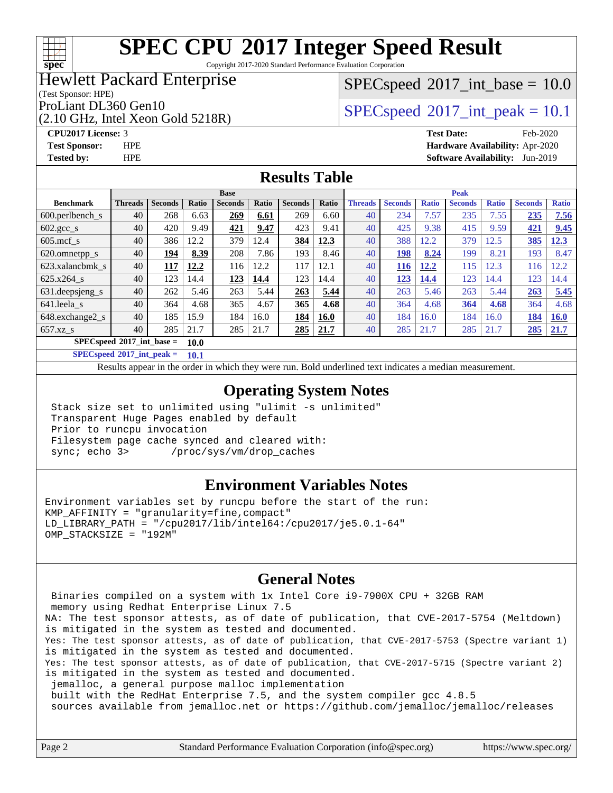### $+\ +$ **[spec](http://www.spec.org/)**

# **[SPEC CPU](http://www.spec.org/auto/cpu2017/Docs/result-fields.html#SPECCPU2017IntegerSpeedResult)[2017 Integer Speed Result](http://www.spec.org/auto/cpu2017/Docs/result-fields.html#SPECCPU2017IntegerSpeedResult)**

Copyright 2017-2020 Standard Performance Evaluation Corporation

## Hewlett Packard Enterprise

### (Test Sponsor: HPE)

(2.10 GHz, Intel Xeon Gold 5218R)

 $SPECspeed^{\circ}2017\_int\_base = 10.0$  $SPECspeed^{\circ}2017\_int\_base = 10.0$ 

ProLiant DL360 Gen10  $SPEC speed^{\circ}2017$  int\_peak = 10.1

**[Tested by:](http://www.spec.org/auto/cpu2017/Docs/result-fields.html#Testedby)** HPE **[Software Availability:](http://www.spec.org/auto/cpu2017/Docs/result-fields.html#SoftwareAvailability)** Jun-2019

### **[CPU2017 License:](http://www.spec.org/auto/cpu2017/Docs/result-fields.html#CPU2017License)** 3 **[Test Date:](http://www.spec.org/auto/cpu2017/Docs/result-fields.html#TestDate)** Feb-2020 **[Test Sponsor:](http://www.spec.org/auto/cpu2017/Docs/result-fields.html#TestSponsor)** HPE **[Hardware Availability:](http://www.spec.org/auto/cpu2017/Docs/result-fields.html#HardwareAvailability)** Apr-2020

### **[Results Table](http://www.spec.org/auto/cpu2017/Docs/result-fields.html#ResultsTable)**

|                                     | <b>Base</b>    |                |             |                |       |                | <b>Peak</b> |                |                |              |                |              |                |              |
|-------------------------------------|----------------|----------------|-------------|----------------|-------|----------------|-------------|----------------|----------------|--------------|----------------|--------------|----------------|--------------|
| <b>Benchmark</b>                    | <b>Threads</b> | <b>Seconds</b> | Ratio       | <b>Seconds</b> | Ratio | <b>Seconds</b> | Ratio       | <b>Threads</b> | <b>Seconds</b> | <b>Ratio</b> | <b>Seconds</b> | <b>Ratio</b> | <b>Seconds</b> | <b>Ratio</b> |
| $600.$ perlbench $\mathsf{S}$       | 40             | 268            | 6.63        | 269            | 6.61  | 269            | 6.60        | 40             | 234            | 7.57         | 235            | 7.55         | 235            | 7.56         |
| $602 \text{.} \text{gcc}\text{.}$ s | 40             | 420            | 9.49        | 421            | 9.47  | 423            | 9.41        | 40             | 425            | 9.38         | 415            | 9.59         | 421            | 9.45         |
| $605 \text{.mcf}$ s                 | 40             | 386            | 12.2        | 379            | 12.4  | 384            | 12.3        | 40             | 388            | 12.2         | 379            | 12.5         | 385            | 12.3         |
| 620.omnetpp_s                       | 40             | 194            | 8.39        | 208            | 7.86  | 193            | 8.46        | 40             | 198            | 8.24         | 199            | 8.21         | 193            | 8.47         |
| 623.xalancbmk s                     | 40             | 117            | 12.2        | 116            | 12.2  | 117            | 12.1        | 40             | 116            | 12.2         | 115            | 12.3         | 116            | 12.2         |
| $625.x264$ s                        | 40             | 123            | 14.4        | 123            | 14.4  | 123            | 14.4        | 40             | 123            | 14.4         | 123            | 14.4         | 123            | 14.4         |
| 631.deepsjeng_s                     | 40             | 262            | 5.46        | 263            | 5.44  | 263            | 5.44        | 40             | 263            | 5.46         | 263            | 5.44         | 263            | 5.45         |
| 641.leela s                         | 40             | 364            | 4.68        | 365            | 4.67  | 365            | 4.68        | 40             | 364            | 4.68         | 364            | 4.68         | 364            | 4.68         |
| 648.exchange2_s                     | 40             | 185            | 15.9        | 184            | 16.0  | 184            | 16.0        | 40             | 184            | 16.0         | 184            | 16.0         | 184            | <b>16.0</b>  |
| $657.xz$ <sub>S</sub>               | 40             | 285            | 21.7        | 285            | 21.7  | 285            | 21.7        | 40             | 285            | 21.7         | 285            | 21.7         | 285            | 21.7         |
| $SPECspeed^{\circ}2017$ int base =  |                |                | <b>10.0</b> |                |       |                |             |                |                |              |                |              |                |              |

**[SPECspeed](http://www.spec.org/auto/cpu2017/Docs/result-fields.html#SPECspeed2017intpeak)[2017\\_int\\_peak =](http://www.spec.org/auto/cpu2017/Docs/result-fields.html#SPECspeed2017intpeak) 10.1**

Results appear in the [order in which they were run.](http://www.spec.org/auto/cpu2017/Docs/result-fields.html#RunOrder) Bold underlined text [indicates a median measurement](http://www.spec.org/auto/cpu2017/Docs/result-fields.html#Median).

## **[Operating System Notes](http://www.spec.org/auto/cpu2017/Docs/result-fields.html#OperatingSystemNotes)**

 Stack size set to unlimited using "ulimit -s unlimited" Transparent Huge Pages enabled by default Prior to runcpu invocation Filesystem page cache synced and cleared with: sync; echo 3> /proc/sys/vm/drop\_caches

### **[Environment Variables Notes](http://www.spec.org/auto/cpu2017/Docs/result-fields.html#EnvironmentVariablesNotes)**

Environment variables set by runcpu before the start of the run: KMP\_AFFINITY = "granularity=fine,compact" LD\_LIBRARY\_PATH = "/cpu2017/lib/intel64:/cpu2017/je5.0.1-64" OMP\_STACKSIZE = "192M"

## **[General Notes](http://www.spec.org/auto/cpu2017/Docs/result-fields.html#GeneralNotes)**

 Binaries compiled on a system with 1x Intel Core i9-7900X CPU + 32GB RAM memory using Redhat Enterprise Linux 7.5 NA: The test sponsor attests, as of date of publication, that CVE-2017-5754 (Meltdown) is mitigated in the system as tested and documented. Yes: The test sponsor attests, as of date of publication, that CVE-2017-5753 (Spectre variant 1) is mitigated in the system as tested and documented. Yes: The test sponsor attests, as of date of publication, that CVE-2017-5715 (Spectre variant 2) is mitigated in the system as tested and documented. jemalloc, a general purpose malloc implementation built with the RedHat Enterprise 7.5, and the system compiler gcc 4.8.5 sources available from jemalloc.net or<https://github.com/jemalloc/jemalloc/releases>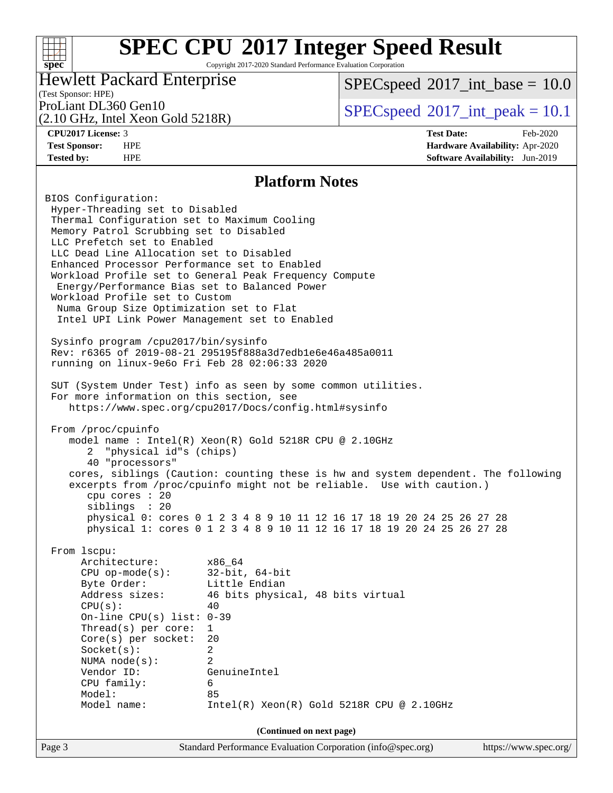## **[SPEC CPU](http://www.spec.org/auto/cpu2017/Docs/result-fields.html#SPECCPU2017IntegerSpeedResult)[2017 Integer Speed Result](http://www.spec.org/auto/cpu2017/Docs/result-fields.html#SPECCPU2017IntegerSpeedResult)** Copyright 2017-2020 Standard Performance Evaluation Corporation

## Hewlett Packard Enterprise

 $SPECspeed^{\circ}2017\_int\_base = 10.0$  $SPECspeed^{\circ}2017\_int\_base = 10.0$ 

## (Test Sponsor: HPE)

(2.10 GHz, Intel Xeon Gold 5218R)

**[spec](http://www.spec.org/)**

 $+\!\!+\!\!$ 

ProLiant DL360 Gen10  $SPEC speed^{\circ}2017$ \_int\_peak = 10.1

**[CPU2017 License:](http://www.spec.org/auto/cpu2017/Docs/result-fields.html#CPU2017License)** 3 **[Test Date:](http://www.spec.org/auto/cpu2017/Docs/result-fields.html#TestDate)** Feb-2020 **[Test Sponsor:](http://www.spec.org/auto/cpu2017/Docs/result-fields.html#TestSponsor)** HPE **[Hardware Availability:](http://www.spec.org/auto/cpu2017/Docs/result-fields.html#HardwareAvailability)** Apr-2020 **[Tested by:](http://www.spec.org/auto/cpu2017/Docs/result-fields.html#Testedby)** HPE **[Software Availability:](http://www.spec.org/auto/cpu2017/Docs/result-fields.html#SoftwareAvailability)** Jun-2019

### **[Platform Notes](http://www.spec.org/auto/cpu2017/Docs/result-fields.html#PlatformNotes)**

Page 3 Standard Performance Evaluation Corporation [\(info@spec.org\)](mailto:info@spec.org) <https://www.spec.org/> BIOS Configuration: Hyper-Threading set to Disabled Thermal Configuration set to Maximum Cooling Memory Patrol Scrubbing set to Disabled LLC Prefetch set to Enabled LLC Dead Line Allocation set to Disabled Enhanced Processor Performance set to Enabled Workload Profile set to General Peak Frequency Compute Energy/Performance Bias set to Balanced Power Workload Profile set to Custom Numa Group Size Optimization set to Flat Intel UPI Link Power Management set to Enabled Sysinfo program /cpu2017/bin/sysinfo Rev: r6365 of 2019-08-21 295195f888a3d7edb1e6e46a485a0011 running on linux-9e6o Fri Feb 28 02:06:33 2020 SUT (System Under Test) info as seen by some common utilities. For more information on this section, see <https://www.spec.org/cpu2017/Docs/config.html#sysinfo> From /proc/cpuinfo model name : Intel(R) Xeon(R) Gold 5218R CPU @ 2.10GHz 2 "physical id"s (chips) 40 "processors" cores, siblings (Caution: counting these is hw and system dependent. The following excerpts from /proc/cpuinfo might not be reliable. Use with caution.) cpu cores : 20 siblings : 20 physical 0: cores 0 1 2 3 4 8 9 10 11 12 16 17 18 19 20 24 25 26 27 28 physical 1: cores 0 1 2 3 4 8 9 10 11 12 16 17 18 19 20 24 25 26 27 28 From lscpu: Architecture: x86\_64 CPU op-mode(s): 32-bit, 64-bit Byte Order: Little Endian Address sizes: 46 bits physical, 48 bits virtual  $CPU(s):$  40 On-line CPU(s) list: 0-39 Thread(s) per core: 1 Core(s) per socket: 20 Socket(s): 2 NUMA node(s): 2 Vendor ID: GenuineIntel CPU family: 6 Model: 85 Model name: Intel(R) Xeon(R) Gold 5218R CPU @ 2.10GHz **(Continued on next page)**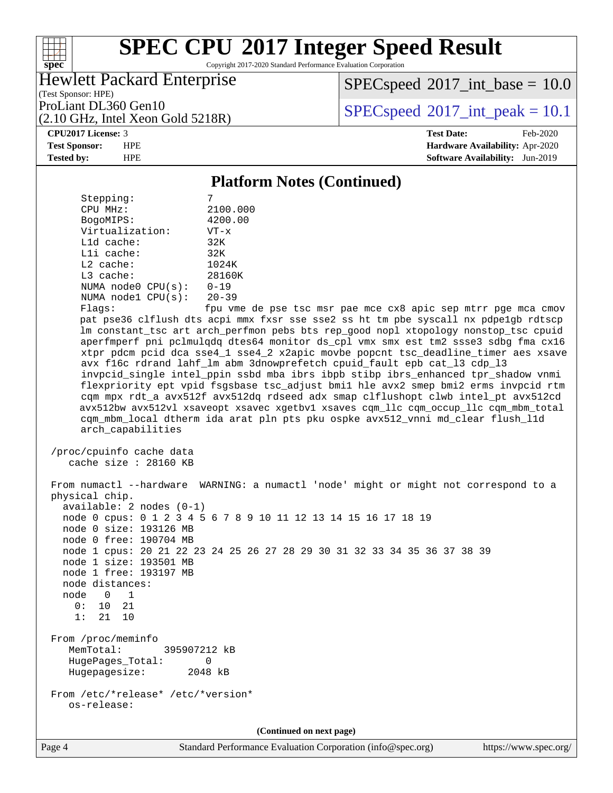Copyright 2017-2020 Standard Performance Evaluation Corporation

## Hewlett Packard Enterprise

 $SPECspeed^{\circ}2017\_int\_base = 10.0$  $SPECspeed^{\circ}2017\_int\_base = 10.0$ 

(Test Sponsor: HPE) (2.10 GHz, Intel Xeon Gold 5218R)

ProLiant DL360 Gen10  $SPEC speed^{\circ}2017$ \_int\_peak = 10.1

### **[CPU2017 License:](http://www.spec.org/auto/cpu2017/Docs/result-fields.html#CPU2017License)** 3 **[Test Date:](http://www.spec.org/auto/cpu2017/Docs/result-fields.html#TestDate)** Feb-2020

**[spec](http://www.spec.org/)**

 $+\ +$ 

**[Test Sponsor:](http://www.spec.org/auto/cpu2017/Docs/result-fields.html#TestSponsor)** HPE **[Hardware Availability:](http://www.spec.org/auto/cpu2017/Docs/result-fields.html#HardwareAvailability)** Apr-2020 **[Tested by:](http://www.spec.org/auto/cpu2017/Docs/result-fields.html#Testedby)** HPE **[Software Availability:](http://www.spec.org/auto/cpu2017/Docs/result-fields.html#SoftwareAvailability)** Jun-2019

### **[Platform Notes \(Continued\)](http://www.spec.org/auto/cpu2017/Docs/result-fields.html#PlatformNotes)**

| Stepping:               |           |
|-------------------------|-----------|
| CPU MHz:                | 2100.000  |
| BogoMIPS:               | 4200.00   |
| Virtualization:         | $VT - x$  |
| L1d cache:              | 32K       |
| $L1i$ cache:            | 32K       |
| $L2$ cache:             | 1024K     |
| $L3$ cache:             | 28160K    |
| NUMA $node0$ $CPU(s)$ : | $0 - 19$  |
| NUMA $node1$ $CPU(s)$ : | $20 - 39$ |
| Flags:                  | em למח    |

de pse tsc msr pae mce cx8 apic sep mtrr pge mca cmov pat pse36 clflush dts acpi mmx fxsr sse sse2 ss ht tm pbe syscall nx pdpe1gb rdtscp lm constant\_tsc art arch\_perfmon pebs bts rep\_good nopl xtopology nonstop\_tsc cpuid aperfmperf pni pclmulqdq dtes64 monitor ds\_cpl vmx smx est tm2 ssse3 sdbg fma cx16 xtpr pdcm pcid dca sse4\_1 sse4\_2 x2apic movbe popcnt tsc\_deadline\_timer aes xsave avx f16c rdrand lahf\_lm abm 3dnowprefetch cpuid\_fault epb cat\_l3 cdp\_l3 invpcid\_single intel\_ppin ssbd mba ibrs ibpb stibp ibrs\_enhanced tpr\_shadow vnmi flexpriority ept vpid fsgsbase tsc\_adjust bmi1 hle avx2 smep bmi2 erms invpcid rtm cqm mpx rdt\_a avx512f avx512dq rdseed adx smap clflushopt clwb intel\_pt avx512cd avx512bw avx512vl xsaveopt xsavec xgetbv1 xsaves cqm\_llc cqm\_occup\_llc cqm\_mbm\_total cqm\_mbm\_local dtherm ida arat pln pts pku ospke avx512\_vnni md\_clear flush\_l1d arch\_capabilities

```
 /proc/cpuinfo cache data
   cache size : 28160 KB
```
 From numactl --hardware WARNING: a numactl 'node' might or might not correspond to a physical chip. available: 2 nodes (0-1) node 0 cpus: 0 1 2 3 4 5 6 7 8 9 10 11 12 13 14 15 16 17 18 19 node 0 size: 193126 MB node 0 free: 190704 MB node 1 cpus: 20 21 22 23 24 25 26 27 28 29 30 31 32 33 34 35 36 37 38 39 node 1 size: 193501 MB node 1 free: 193197 MB node distances: node 0 1  $0: 10 21$  1: 21 10 From /proc/meminfo MemTotal: 395907212 kB HugePages\_Total: 0 Hugepagesize: 2048 kB From /etc/\*release\* /etc/\*version\* os-release:

**(Continued on next page)**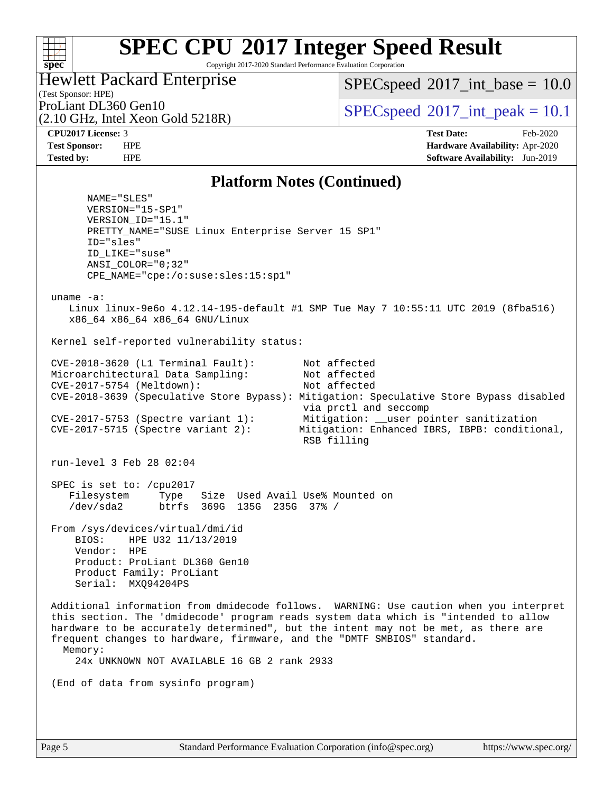Copyright 2017-2020 Standard Performance Evaluation Corporation

## Hewlett Packard Enterprise

 $SPECspeed^{\circ}2017\_int\_base = 10.0$  $SPECspeed^{\circ}2017\_int\_base = 10.0$ 

## (Test Sponsor: HPE) (2.10 GHz, Intel Xeon Gold 5218R)

ProLiant DL360 Gen10  $SPEC speed^{\circ}2017$ \_int\_peak = 10.1

**[spec](http://www.spec.org/)**

 $+\ +$ 

**[CPU2017 License:](http://www.spec.org/auto/cpu2017/Docs/result-fields.html#CPU2017License)** 3 **[Test Date:](http://www.spec.org/auto/cpu2017/Docs/result-fields.html#TestDate)** Feb-2020 **[Test Sponsor:](http://www.spec.org/auto/cpu2017/Docs/result-fields.html#TestSponsor)** HPE **[Hardware Availability:](http://www.spec.org/auto/cpu2017/Docs/result-fields.html#HardwareAvailability)** Apr-2020 **[Tested by:](http://www.spec.org/auto/cpu2017/Docs/result-fields.html#Testedby)** HPE **[Software Availability:](http://www.spec.org/auto/cpu2017/Docs/result-fields.html#SoftwareAvailability)** Jun-2019

### **[Platform Notes \(Continued\)](http://www.spec.org/auto/cpu2017/Docs/result-fields.html#PlatformNotes)**

 NAME="SLES" VERSION="15-SP1" VERSION\_ID="15.1" PRETTY\_NAME="SUSE Linux Enterprise Server 15 SP1" ID="sles" ID\_LIKE="suse" ANSI\_COLOR="0;32" CPE\_NAME="cpe:/o:suse:sles:15:sp1" uname -a: Linux linux-9e6o 4.12.14-195-default #1 SMP Tue May 7 10:55:11 UTC 2019 (8fba516) x86\_64 x86\_64 x86\_64 GNU/Linux Kernel self-reported vulnerability status: CVE-2018-3620 (L1 Terminal Fault): Not affected Microarchitectural Data Sampling: Not affected CVE-2017-5754 (Meltdown): Not affected CVE-2018-3639 (Speculative Store Bypass): Mitigation: Speculative Store Bypass disabled via prctl and seccomp CVE-2017-5753 (Spectre variant 1): Mitigation: \_\_user pointer sanitization CVE-2017-5715 (Spectre variant 2): Mitigation: Enhanced IBRS, IBPB: conditional, RSB filling run-level 3 Feb 28 02:04 SPEC is set to: /cpu2017<br>Filesystem Type Type Size Used Avail Use% Mounted on /dev/sda2 btrfs 369G 135G 235G 37% / From /sys/devices/virtual/dmi/id BIOS: HPE U32 11/13/2019 Vendor: HPE Product: ProLiant DL360 Gen10 Product Family: ProLiant Serial: MXQ94204PS Additional information from dmidecode follows. WARNING: Use caution when you interpret this section. The 'dmidecode' program reads system data which is "intended to allow hardware to be accurately determined", but the intent may not be met, as there are frequent changes to hardware, firmware, and the "DMTF SMBIOS" standard. Memory: 24x UNKNOWN NOT AVAILABLE 16 GB 2 rank 2933 (End of data from sysinfo program)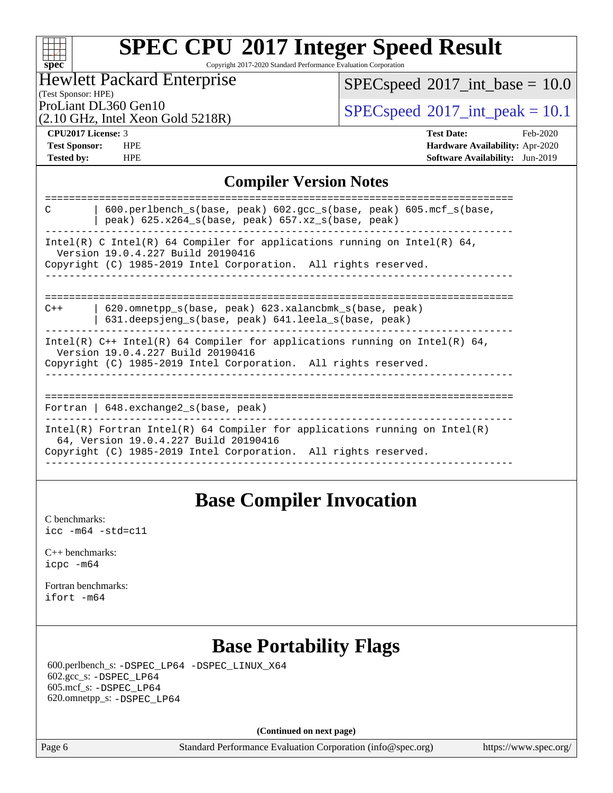### **[spec](http://www.spec.org/) [SPEC CPU](http://www.spec.org/auto/cpu2017/Docs/result-fields.html#SPECCPU2017IntegerSpeedResult)[2017 Integer Speed Result](http://www.spec.org/auto/cpu2017/Docs/result-fields.html#SPECCPU2017IntegerSpeedResult)** Copyright 2017-2020 Standard Performance Evaluation Corporation

Hewlett Packard Enterprise

 $SPEC speed$ <sup>®</sup> $2017$ \_int\_base = 10.0

(Test Sponsor: HPE)

(2.10 GHz, Intel Xeon Gold 5218R)

ProLiant DL360 Gen10<br>  $\text{SPEC speed}^{\circ}2017\_int\_peak = 10.1$ 

 $+\ +$ 

**[CPU2017 License:](http://www.spec.org/auto/cpu2017/Docs/result-fields.html#CPU2017License)** 3 **[Test Date:](http://www.spec.org/auto/cpu2017/Docs/result-fields.html#TestDate)** Feb-2020 **[Test Sponsor:](http://www.spec.org/auto/cpu2017/Docs/result-fields.html#TestSponsor)** HPE **[Hardware Availability:](http://www.spec.org/auto/cpu2017/Docs/result-fields.html#HardwareAvailability)** Apr-2020 **[Tested by:](http://www.spec.org/auto/cpu2017/Docs/result-fields.html#Testedby)** HPE **[Software Availability:](http://www.spec.org/auto/cpu2017/Docs/result-fields.html#SoftwareAvailability)** Jun-2019

## **[Compiler Version Notes](http://www.spec.org/auto/cpu2017/Docs/result-fields.html#CompilerVersionNotes)**

| 600.perlbench_s(base, peak) 602.gcc_s(base, peak) 605.mcf_s(base,<br>C<br>peak) $625.x264_s(base, peak)$ $657.xz_s(base, peak)$                                                        |
|----------------------------------------------------------------------------------------------------------------------------------------------------------------------------------------|
| Intel(R) C Intel(R) 64 Compiler for applications running on Intel(R) 64,<br>Version 19.0.4.227 Build 20190416<br>Copyright (C) 1985-2019 Intel Corporation. All rights reserved.       |
| 620.omnetpp s(base, peak) 623.xalancbmk s(base, peak)<br>$C++$<br>$631$ .deepsjeng s(base, peak) $641$ .leela s(base, peak)                                                            |
| Intel(R) $C++$ Intel(R) 64 Compiler for applications running on Intel(R) 64,<br>Version 19.0.4.227 Build 20190416<br>Copyright (C) 1985-2019 Intel Corporation. All rights reserved.   |
| Fortran   $648$ . exchange2 $s$ (base, peak)                                                                                                                                           |
| Intel(R) Fortran Intel(R) 64 Compiler for applications running on Intel(R)<br>64, Version 19.0.4.227 Build 20190416<br>Copyright (C) 1985-2019 Intel Corporation. All rights reserved. |
|                                                                                                                                                                                        |

## **[Base Compiler Invocation](http://www.spec.org/auto/cpu2017/Docs/result-fields.html#BaseCompilerInvocation)**

[C benchmarks](http://www.spec.org/auto/cpu2017/Docs/result-fields.html#Cbenchmarks): [icc -m64 -std=c11](http://www.spec.org/cpu2017/results/res2020q2/cpu2017-20200330-21593.flags.html#user_CCbase_intel_icc_64bit_c11_33ee0cdaae7deeeab2a9725423ba97205ce30f63b9926c2519791662299b76a0318f32ddfffdc46587804de3178b4f9328c46fa7c2b0cd779d7a61945c91cd35)

[C++ benchmarks:](http://www.spec.org/auto/cpu2017/Docs/result-fields.html#CXXbenchmarks) [icpc -m64](http://www.spec.org/cpu2017/results/res2020q2/cpu2017-20200330-21593.flags.html#user_CXXbase_intel_icpc_64bit_4ecb2543ae3f1412ef961e0650ca070fec7b7afdcd6ed48761b84423119d1bf6bdf5cad15b44d48e7256388bc77273b966e5eb805aefd121eb22e9299b2ec9d9)

[Fortran benchmarks](http://www.spec.org/auto/cpu2017/Docs/result-fields.html#Fortranbenchmarks): [ifort -m64](http://www.spec.org/cpu2017/results/res2020q2/cpu2017-20200330-21593.flags.html#user_FCbase_intel_ifort_64bit_24f2bb282fbaeffd6157abe4f878425411749daecae9a33200eee2bee2fe76f3b89351d69a8130dd5949958ce389cf37ff59a95e7a40d588e8d3a57e0c3fd751)

## **[Base Portability Flags](http://www.spec.org/auto/cpu2017/Docs/result-fields.html#BasePortabilityFlags)**

 600.perlbench\_s: [-DSPEC\\_LP64](http://www.spec.org/cpu2017/results/res2020q2/cpu2017-20200330-21593.flags.html#b600.perlbench_s_basePORTABILITY_DSPEC_LP64) [-DSPEC\\_LINUX\\_X64](http://www.spec.org/cpu2017/results/res2020q2/cpu2017-20200330-21593.flags.html#b600.perlbench_s_baseCPORTABILITY_DSPEC_LINUX_X64) 602.gcc\_s: [-DSPEC\\_LP64](http://www.spec.org/cpu2017/results/res2020q2/cpu2017-20200330-21593.flags.html#suite_basePORTABILITY602_gcc_s_DSPEC_LP64) 605.mcf\_s: [-DSPEC\\_LP64](http://www.spec.org/cpu2017/results/res2020q2/cpu2017-20200330-21593.flags.html#suite_basePORTABILITY605_mcf_s_DSPEC_LP64) 620.omnetpp\_s: [-DSPEC\\_LP64](http://www.spec.org/cpu2017/results/res2020q2/cpu2017-20200330-21593.flags.html#suite_basePORTABILITY620_omnetpp_s_DSPEC_LP64)

**(Continued on next page)**

Page 6 Standard Performance Evaluation Corporation [\(info@spec.org\)](mailto:info@spec.org) <https://www.spec.org/>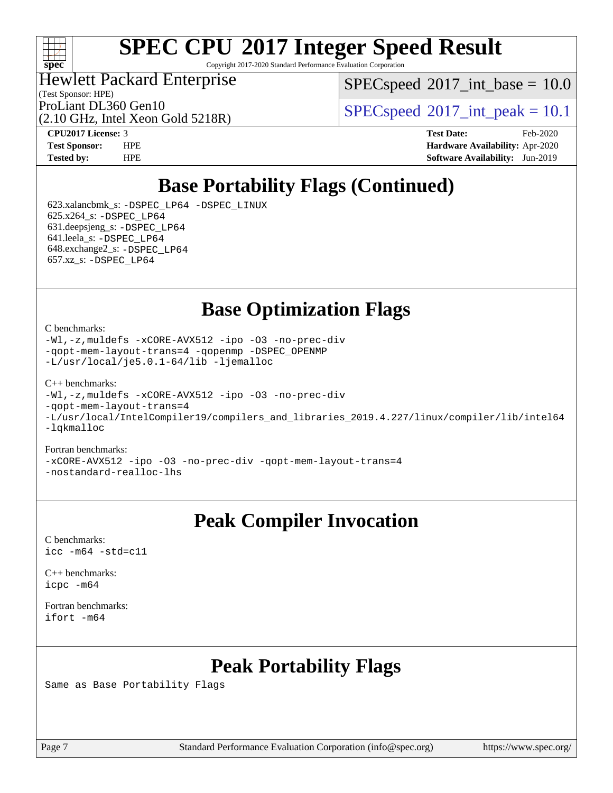

Copyright 2017-2020 Standard Performance Evaluation Corporation

Hewlett Packard Enterprise

 $SPECspeed^{\circ}2017\_int\_base = 10.0$  $SPECspeed^{\circ}2017\_int\_base = 10.0$ 

(Test Sponsor: HPE)

(2.10 GHz, Intel Xeon Gold 5218R) ProLiant DL360 Gen10  $SPEC speed@2017$ \_int\_peak = 10.1

**[Tested by:](http://www.spec.org/auto/cpu2017/Docs/result-fields.html#Testedby)** HPE **[Software Availability:](http://www.spec.org/auto/cpu2017/Docs/result-fields.html#SoftwareAvailability)** Jun-2019

**[CPU2017 License:](http://www.spec.org/auto/cpu2017/Docs/result-fields.html#CPU2017License)** 3 **[Test Date:](http://www.spec.org/auto/cpu2017/Docs/result-fields.html#TestDate)** Feb-2020 **[Test Sponsor:](http://www.spec.org/auto/cpu2017/Docs/result-fields.html#TestSponsor)** HPE **[Hardware Availability:](http://www.spec.org/auto/cpu2017/Docs/result-fields.html#HardwareAvailability)** Apr-2020

## **[Base Portability Flags \(Continued\)](http://www.spec.org/auto/cpu2017/Docs/result-fields.html#BasePortabilityFlags)**

 623.xalancbmk\_s: [-DSPEC\\_LP64](http://www.spec.org/cpu2017/results/res2020q2/cpu2017-20200330-21593.flags.html#suite_basePORTABILITY623_xalancbmk_s_DSPEC_LP64) [-DSPEC\\_LINUX](http://www.spec.org/cpu2017/results/res2020q2/cpu2017-20200330-21593.flags.html#b623.xalancbmk_s_baseCXXPORTABILITY_DSPEC_LINUX) 625.x264\_s: [-DSPEC\\_LP64](http://www.spec.org/cpu2017/results/res2020q2/cpu2017-20200330-21593.flags.html#suite_basePORTABILITY625_x264_s_DSPEC_LP64) 631.deepsjeng\_s: [-DSPEC\\_LP64](http://www.spec.org/cpu2017/results/res2020q2/cpu2017-20200330-21593.flags.html#suite_basePORTABILITY631_deepsjeng_s_DSPEC_LP64) 641.leela\_s: [-DSPEC\\_LP64](http://www.spec.org/cpu2017/results/res2020q2/cpu2017-20200330-21593.flags.html#suite_basePORTABILITY641_leela_s_DSPEC_LP64) 648.exchange2\_s: [-DSPEC\\_LP64](http://www.spec.org/cpu2017/results/res2020q2/cpu2017-20200330-21593.flags.html#suite_basePORTABILITY648_exchange2_s_DSPEC_LP64) 657.xz\_s: [-DSPEC\\_LP64](http://www.spec.org/cpu2017/results/res2020q2/cpu2017-20200330-21593.flags.html#suite_basePORTABILITY657_xz_s_DSPEC_LP64)

**[Base Optimization Flags](http://www.spec.org/auto/cpu2017/Docs/result-fields.html#BaseOptimizationFlags)**

[C benchmarks](http://www.spec.org/auto/cpu2017/Docs/result-fields.html#Cbenchmarks):

[-Wl,-z,muldefs](http://www.spec.org/cpu2017/results/res2020q2/cpu2017-20200330-21593.flags.html#user_CCbase_link_force_multiple1_b4cbdb97b34bdee9ceefcfe54f4c8ea74255f0b02a4b23e853cdb0e18eb4525ac79b5a88067c842dd0ee6996c24547a27a4b99331201badda8798ef8a743f577) [-xCORE-AVX512](http://www.spec.org/cpu2017/results/res2020q2/cpu2017-20200330-21593.flags.html#user_CCbase_f-xCORE-AVX512) [-ipo](http://www.spec.org/cpu2017/results/res2020q2/cpu2017-20200330-21593.flags.html#user_CCbase_f-ipo) [-O3](http://www.spec.org/cpu2017/results/res2020q2/cpu2017-20200330-21593.flags.html#user_CCbase_f-O3) [-no-prec-div](http://www.spec.org/cpu2017/results/res2020q2/cpu2017-20200330-21593.flags.html#user_CCbase_f-no-prec-div) [-qopt-mem-layout-trans=4](http://www.spec.org/cpu2017/results/res2020q2/cpu2017-20200330-21593.flags.html#user_CCbase_f-qopt-mem-layout-trans_fa39e755916c150a61361b7846f310bcdf6f04e385ef281cadf3647acec3f0ae266d1a1d22d972a7087a248fd4e6ca390a3634700869573d231a252c784941a8) [-qopenmp](http://www.spec.org/cpu2017/results/res2020q2/cpu2017-20200330-21593.flags.html#user_CCbase_qopenmp_16be0c44f24f464004c6784a7acb94aca937f053568ce72f94b139a11c7c168634a55f6653758ddd83bcf7b8463e8028bb0b48b77bcddc6b78d5d95bb1df2967) [-DSPEC\\_OPENMP](http://www.spec.org/cpu2017/results/res2020q2/cpu2017-20200330-21593.flags.html#suite_CCbase_DSPEC_OPENMP) [-L/usr/local/je5.0.1-64/lib](http://www.spec.org/cpu2017/results/res2020q2/cpu2017-20200330-21593.flags.html#user_CCbase_jemalloc_link_path64_4b10a636b7bce113509b17f3bd0d6226c5fb2346b9178c2d0232c14f04ab830f976640479e5c33dc2bcbbdad86ecfb6634cbbd4418746f06f368b512fced5394) [-ljemalloc](http://www.spec.org/cpu2017/results/res2020q2/cpu2017-20200330-21593.flags.html#user_CCbase_jemalloc_link_lib_d1249b907c500fa1c0672f44f562e3d0f79738ae9e3c4a9c376d49f265a04b9c99b167ecedbf6711b3085be911c67ff61f150a17b3472be731631ba4d0471706)

[C++ benchmarks:](http://www.spec.org/auto/cpu2017/Docs/result-fields.html#CXXbenchmarks)

[-Wl,-z,muldefs](http://www.spec.org/cpu2017/results/res2020q2/cpu2017-20200330-21593.flags.html#user_CXXbase_link_force_multiple1_b4cbdb97b34bdee9ceefcfe54f4c8ea74255f0b02a4b23e853cdb0e18eb4525ac79b5a88067c842dd0ee6996c24547a27a4b99331201badda8798ef8a743f577) [-xCORE-AVX512](http://www.spec.org/cpu2017/results/res2020q2/cpu2017-20200330-21593.flags.html#user_CXXbase_f-xCORE-AVX512) [-ipo](http://www.spec.org/cpu2017/results/res2020q2/cpu2017-20200330-21593.flags.html#user_CXXbase_f-ipo) [-O3](http://www.spec.org/cpu2017/results/res2020q2/cpu2017-20200330-21593.flags.html#user_CXXbase_f-O3) [-no-prec-div](http://www.spec.org/cpu2017/results/res2020q2/cpu2017-20200330-21593.flags.html#user_CXXbase_f-no-prec-div)

[-qopt-mem-layout-trans=4](http://www.spec.org/cpu2017/results/res2020q2/cpu2017-20200330-21593.flags.html#user_CXXbase_f-qopt-mem-layout-trans_fa39e755916c150a61361b7846f310bcdf6f04e385ef281cadf3647acec3f0ae266d1a1d22d972a7087a248fd4e6ca390a3634700869573d231a252c784941a8)

[-L/usr/local/IntelCompiler19/compilers\\_and\\_libraries\\_2019.4.227/linux/compiler/lib/intel64](http://www.spec.org/cpu2017/results/res2020q2/cpu2017-20200330-21593.flags.html#user_CXXbase_qkmalloc_link_0ffe0cb02c68ef1b443a077c7888c10c67ca0d1dd7138472156f06a085bbad385f78d49618ad55dca9db3b1608e84afc2f69b4003b1d1ca498a9fc1462ccefda) [-lqkmalloc](http://www.spec.org/cpu2017/results/res2020q2/cpu2017-20200330-21593.flags.html#user_CXXbase_qkmalloc_link_lib_79a818439969f771c6bc311cfd333c00fc099dad35c030f5aab9dda831713d2015205805422f83de8875488a2991c0a156aaa600e1f9138f8fc37004abc96dc5)

### [Fortran benchmarks:](http://www.spec.org/auto/cpu2017/Docs/result-fields.html#Fortranbenchmarks) [-xCORE-AVX512](http://www.spec.org/cpu2017/results/res2020q2/cpu2017-20200330-21593.flags.html#user_FCbase_f-xCORE-AVX512) [-ipo](http://www.spec.org/cpu2017/results/res2020q2/cpu2017-20200330-21593.flags.html#user_FCbase_f-ipo) [-O3](http://www.spec.org/cpu2017/results/res2020q2/cpu2017-20200330-21593.flags.html#user_FCbase_f-O3) [-no-prec-div](http://www.spec.org/cpu2017/results/res2020q2/cpu2017-20200330-21593.flags.html#user_FCbase_f-no-prec-div) [-qopt-mem-layout-trans=4](http://www.spec.org/cpu2017/results/res2020q2/cpu2017-20200330-21593.flags.html#user_FCbase_f-qopt-mem-layout-trans_fa39e755916c150a61361b7846f310bcdf6f04e385ef281cadf3647acec3f0ae266d1a1d22d972a7087a248fd4e6ca390a3634700869573d231a252c784941a8)

[-nostandard-realloc-lhs](http://www.spec.org/cpu2017/results/res2020q2/cpu2017-20200330-21593.flags.html#user_FCbase_f_2003_std_realloc_82b4557e90729c0f113870c07e44d33d6f5a304b4f63d4c15d2d0f1fab99f5daaed73bdb9275d9ae411527f28b936061aa8b9c8f2d63842963b95c9dd6426b8a)

## **[Peak Compiler Invocation](http://www.spec.org/auto/cpu2017/Docs/result-fields.html#PeakCompilerInvocation)**

[C benchmarks](http://www.spec.org/auto/cpu2017/Docs/result-fields.html#Cbenchmarks): [icc -m64 -std=c11](http://www.spec.org/cpu2017/results/res2020q2/cpu2017-20200330-21593.flags.html#user_CCpeak_intel_icc_64bit_c11_33ee0cdaae7deeeab2a9725423ba97205ce30f63b9926c2519791662299b76a0318f32ddfffdc46587804de3178b4f9328c46fa7c2b0cd779d7a61945c91cd35)

[C++ benchmarks:](http://www.spec.org/auto/cpu2017/Docs/result-fields.html#CXXbenchmarks) [icpc -m64](http://www.spec.org/cpu2017/results/res2020q2/cpu2017-20200330-21593.flags.html#user_CXXpeak_intel_icpc_64bit_4ecb2543ae3f1412ef961e0650ca070fec7b7afdcd6ed48761b84423119d1bf6bdf5cad15b44d48e7256388bc77273b966e5eb805aefd121eb22e9299b2ec9d9)

[Fortran benchmarks](http://www.spec.org/auto/cpu2017/Docs/result-fields.html#Fortranbenchmarks): [ifort -m64](http://www.spec.org/cpu2017/results/res2020q2/cpu2017-20200330-21593.flags.html#user_FCpeak_intel_ifort_64bit_24f2bb282fbaeffd6157abe4f878425411749daecae9a33200eee2bee2fe76f3b89351d69a8130dd5949958ce389cf37ff59a95e7a40d588e8d3a57e0c3fd751)

## **[Peak Portability Flags](http://www.spec.org/auto/cpu2017/Docs/result-fields.html#PeakPortabilityFlags)**

Same as Base Portability Flags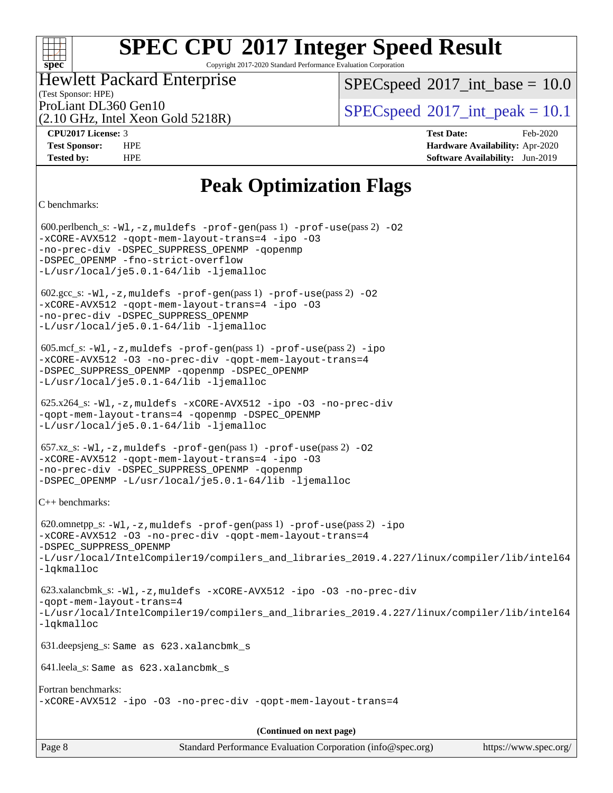Copyright 2017-2020 Standard Performance Evaluation Corporation

## Hewlett Packard Enterprise

(2.10 GHz, Intel Xeon Gold 5218R)

 $SPECspeed^{\circ}2017\_int\_base = 10.0$  $SPECspeed^{\circ}2017\_int\_base = 10.0$ 

(Test Sponsor: HPE)

ProLiant DL360 Gen10  $SPEC speed^{\circ}2017$ \_int\_peak = 10.1

**[CPU2017 License:](http://www.spec.org/auto/cpu2017/Docs/result-fields.html#CPU2017License)** 3 **[Test Date:](http://www.spec.org/auto/cpu2017/Docs/result-fields.html#TestDate)** Feb-2020 **[Test Sponsor:](http://www.spec.org/auto/cpu2017/Docs/result-fields.html#TestSponsor)** HPE **[Hardware Availability:](http://www.spec.org/auto/cpu2017/Docs/result-fields.html#HardwareAvailability)** Apr-2020 **[Tested by:](http://www.spec.org/auto/cpu2017/Docs/result-fields.html#Testedby)** HPE **[Software Availability:](http://www.spec.org/auto/cpu2017/Docs/result-fields.html#SoftwareAvailability)** Jun-2019

## **[Peak Optimization Flags](http://www.spec.org/auto/cpu2017/Docs/result-fields.html#PeakOptimizationFlags)**

[C benchmarks:](http://www.spec.org/auto/cpu2017/Docs/result-fields.html#Cbenchmarks)

**[spec](http://www.spec.org/)**

 $+\!\!+\!\!$ 

 600.perlbench\_s: [-Wl,-z,muldefs](http://www.spec.org/cpu2017/results/res2020q2/cpu2017-20200330-21593.flags.html#user_peakEXTRA_LDFLAGS600_perlbench_s_link_force_multiple1_b4cbdb97b34bdee9ceefcfe54f4c8ea74255f0b02a4b23e853cdb0e18eb4525ac79b5a88067c842dd0ee6996c24547a27a4b99331201badda8798ef8a743f577) [-prof-gen](http://www.spec.org/cpu2017/results/res2020q2/cpu2017-20200330-21593.flags.html#user_peakPASS1_CFLAGSPASS1_LDFLAGS600_perlbench_s_prof_gen_5aa4926d6013ddb2a31985c654b3eb18169fc0c6952a63635c234f711e6e63dd76e94ad52365559451ec499a2cdb89e4dc58ba4c67ef54ca681ffbe1461d6b36)(pass 1) [-prof-use](http://www.spec.org/cpu2017/results/res2020q2/cpu2017-20200330-21593.flags.html#user_peakPASS2_CFLAGSPASS2_LDFLAGS600_perlbench_s_prof_use_1a21ceae95f36a2b53c25747139a6c16ca95bd9def2a207b4f0849963b97e94f5260e30a0c64f4bb623698870e679ca08317ef8150905d41bd88c6f78df73f19)(pass 2) [-O2](http://www.spec.org/cpu2017/results/res2020q2/cpu2017-20200330-21593.flags.html#user_peakPASS1_COPTIMIZE600_perlbench_s_f-O2) [-xCORE-AVX512](http://www.spec.org/cpu2017/results/res2020q2/cpu2017-20200330-21593.flags.html#user_peakPASS2_COPTIMIZE600_perlbench_s_f-xCORE-AVX512) [-qopt-mem-layout-trans=4](http://www.spec.org/cpu2017/results/res2020q2/cpu2017-20200330-21593.flags.html#user_peakPASS1_COPTIMIZEPASS2_COPTIMIZE600_perlbench_s_f-qopt-mem-layout-trans_fa39e755916c150a61361b7846f310bcdf6f04e385ef281cadf3647acec3f0ae266d1a1d22d972a7087a248fd4e6ca390a3634700869573d231a252c784941a8) [-ipo](http://www.spec.org/cpu2017/results/res2020q2/cpu2017-20200330-21593.flags.html#user_peakPASS2_COPTIMIZE600_perlbench_s_f-ipo) [-O3](http://www.spec.org/cpu2017/results/res2020q2/cpu2017-20200330-21593.flags.html#user_peakPASS2_COPTIMIZE600_perlbench_s_f-O3) [-no-prec-div](http://www.spec.org/cpu2017/results/res2020q2/cpu2017-20200330-21593.flags.html#user_peakPASS2_COPTIMIZE600_perlbench_s_f-no-prec-div) [-DSPEC\\_SUPPRESS\\_OPENMP](http://www.spec.org/cpu2017/results/res2020q2/cpu2017-20200330-21593.flags.html#suite_peakPASS1_COPTIMIZE600_perlbench_s_DSPEC_SUPPRESS_OPENMP) [-qopenmp](http://www.spec.org/cpu2017/results/res2020q2/cpu2017-20200330-21593.flags.html#user_peakPASS2_COPTIMIZE600_perlbench_s_qopenmp_16be0c44f24f464004c6784a7acb94aca937f053568ce72f94b139a11c7c168634a55f6653758ddd83bcf7b8463e8028bb0b48b77bcddc6b78d5d95bb1df2967) -DSPEC OPENMP [-fno-strict-overflow](http://www.spec.org/cpu2017/results/res2020q2/cpu2017-20200330-21593.flags.html#user_peakEXTRA_OPTIMIZE600_perlbench_s_f-fno-strict-overflow) [-L/usr/local/je5.0.1-64/lib](http://www.spec.org/cpu2017/results/res2020q2/cpu2017-20200330-21593.flags.html#user_peakEXTRA_LIBS600_perlbench_s_jemalloc_link_path64_4b10a636b7bce113509b17f3bd0d6226c5fb2346b9178c2d0232c14f04ab830f976640479e5c33dc2bcbbdad86ecfb6634cbbd4418746f06f368b512fced5394) [-ljemalloc](http://www.spec.org/cpu2017/results/res2020q2/cpu2017-20200330-21593.flags.html#user_peakEXTRA_LIBS600_perlbench_s_jemalloc_link_lib_d1249b907c500fa1c0672f44f562e3d0f79738ae9e3c4a9c376d49f265a04b9c99b167ecedbf6711b3085be911c67ff61f150a17b3472be731631ba4d0471706)  $602.\text{sec}\text{s}: -W1, -z$ , muldefs  $-\text{prof}-\text{gen}(pass 1) -\text{prof}-\text{use}(pass 2) -02$ [-xCORE-AVX512](http://www.spec.org/cpu2017/results/res2020q2/cpu2017-20200330-21593.flags.html#user_peakPASS2_COPTIMIZE602_gcc_s_f-xCORE-AVX512) [-qopt-mem-layout-trans=4](http://www.spec.org/cpu2017/results/res2020q2/cpu2017-20200330-21593.flags.html#user_peakPASS1_COPTIMIZEPASS2_COPTIMIZE602_gcc_s_f-qopt-mem-layout-trans_fa39e755916c150a61361b7846f310bcdf6f04e385ef281cadf3647acec3f0ae266d1a1d22d972a7087a248fd4e6ca390a3634700869573d231a252c784941a8) [-ipo](http://www.spec.org/cpu2017/results/res2020q2/cpu2017-20200330-21593.flags.html#user_peakPASS2_COPTIMIZE602_gcc_s_f-ipo) [-O3](http://www.spec.org/cpu2017/results/res2020q2/cpu2017-20200330-21593.flags.html#user_peakPASS2_COPTIMIZE602_gcc_s_f-O3) [-no-prec-div](http://www.spec.org/cpu2017/results/res2020q2/cpu2017-20200330-21593.flags.html#user_peakPASS2_COPTIMIZE602_gcc_s_f-no-prec-div) [-DSPEC\\_SUPPRESS\\_OPENMP](http://www.spec.org/cpu2017/results/res2020q2/cpu2017-20200330-21593.flags.html#suite_peakPASS1_COPTIMIZE602_gcc_s_DSPEC_SUPPRESS_OPENMP) [-L/usr/local/je5.0.1-64/lib](http://www.spec.org/cpu2017/results/res2020q2/cpu2017-20200330-21593.flags.html#user_peakEXTRA_LIBS602_gcc_s_jemalloc_link_path64_4b10a636b7bce113509b17f3bd0d6226c5fb2346b9178c2d0232c14f04ab830f976640479e5c33dc2bcbbdad86ecfb6634cbbd4418746f06f368b512fced5394) [-ljemalloc](http://www.spec.org/cpu2017/results/res2020q2/cpu2017-20200330-21593.flags.html#user_peakEXTRA_LIBS602_gcc_s_jemalloc_link_lib_d1249b907c500fa1c0672f44f562e3d0f79738ae9e3c4a9c376d49f265a04b9c99b167ecedbf6711b3085be911c67ff61f150a17b3472be731631ba4d0471706) 605.mcf\_s: [-Wl,-z,muldefs](http://www.spec.org/cpu2017/results/res2020q2/cpu2017-20200330-21593.flags.html#user_peakEXTRA_LDFLAGS605_mcf_s_link_force_multiple1_b4cbdb97b34bdee9ceefcfe54f4c8ea74255f0b02a4b23e853cdb0e18eb4525ac79b5a88067c842dd0ee6996c24547a27a4b99331201badda8798ef8a743f577) [-prof-gen](http://www.spec.org/cpu2017/results/res2020q2/cpu2017-20200330-21593.flags.html#user_peakPASS1_CFLAGSPASS1_LDFLAGS605_mcf_s_prof_gen_5aa4926d6013ddb2a31985c654b3eb18169fc0c6952a63635c234f711e6e63dd76e94ad52365559451ec499a2cdb89e4dc58ba4c67ef54ca681ffbe1461d6b36)(pass 1) [-prof-use](http://www.spec.org/cpu2017/results/res2020q2/cpu2017-20200330-21593.flags.html#user_peakPASS2_CFLAGSPASS2_LDFLAGS605_mcf_s_prof_use_1a21ceae95f36a2b53c25747139a6c16ca95bd9def2a207b4f0849963b97e94f5260e30a0c64f4bb623698870e679ca08317ef8150905d41bd88c6f78df73f19)(pass 2) [-ipo](http://www.spec.org/cpu2017/results/res2020q2/cpu2017-20200330-21593.flags.html#user_peakPASS1_COPTIMIZEPASS2_COPTIMIZE605_mcf_s_f-ipo) [-xCORE-AVX512](http://www.spec.org/cpu2017/results/res2020q2/cpu2017-20200330-21593.flags.html#user_peakPASS2_COPTIMIZE605_mcf_s_f-xCORE-AVX512) [-O3](http://www.spec.org/cpu2017/results/res2020q2/cpu2017-20200330-21593.flags.html#user_peakPASS1_COPTIMIZEPASS2_COPTIMIZE605_mcf_s_f-O3) [-no-prec-div](http://www.spec.org/cpu2017/results/res2020q2/cpu2017-20200330-21593.flags.html#user_peakPASS1_COPTIMIZEPASS2_COPTIMIZE605_mcf_s_f-no-prec-div) [-qopt-mem-layout-trans=4](http://www.spec.org/cpu2017/results/res2020q2/cpu2017-20200330-21593.flags.html#user_peakPASS1_COPTIMIZEPASS2_COPTIMIZE605_mcf_s_f-qopt-mem-layout-trans_fa39e755916c150a61361b7846f310bcdf6f04e385ef281cadf3647acec3f0ae266d1a1d22d972a7087a248fd4e6ca390a3634700869573d231a252c784941a8) [-DSPEC\\_SUPPRESS\\_OPENMP](http://www.spec.org/cpu2017/results/res2020q2/cpu2017-20200330-21593.flags.html#suite_peakPASS1_COPTIMIZE605_mcf_s_DSPEC_SUPPRESS_OPENMP) [-qopenmp](http://www.spec.org/cpu2017/results/res2020q2/cpu2017-20200330-21593.flags.html#user_peakPASS2_COPTIMIZE605_mcf_s_qopenmp_16be0c44f24f464004c6784a7acb94aca937f053568ce72f94b139a11c7c168634a55f6653758ddd83bcf7b8463e8028bb0b48b77bcddc6b78d5d95bb1df2967) [-DSPEC\\_OPENMP](http://www.spec.org/cpu2017/results/res2020q2/cpu2017-20200330-21593.flags.html#suite_peakPASS2_COPTIMIZE605_mcf_s_DSPEC_OPENMP) [-L/usr/local/je5.0.1-64/lib](http://www.spec.org/cpu2017/results/res2020q2/cpu2017-20200330-21593.flags.html#user_peakEXTRA_LIBS605_mcf_s_jemalloc_link_path64_4b10a636b7bce113509b17f3bd0d6226c5fb2346b9178c2d0232c14f04ab830f976640479e5c33dc2bcbbdad86ecfb6634cbbd4418746f06f368b512fced5394) [-ljemalloc](http://www.spec.org/cpu2017/results/res2020q2/cpu2017-20200330-21593.flags.html#user_peakEXTRA_LIBS605_mcf_s_jemalloc_link_lib_d1249b907c500fa1c0672f44f562e3d0f79738ae9e3c4a9c376d49f265a04b9c99b167ecedbf6711b3085be911c67ff61f150a17b3472be731631ba4d0471706) 625.x264\_s: [-Wl,-z,muldefs](http://www.spec.org/cpu2017/results/res2020q2/cpu2017-20200330-21593.flags.html#user_peakEXTRA_LDFLAGS625_x264_s_link_force_multiple1_b4cbdb97b34bdee9ceefcfe54f4c8ea74255f0b02a4b23e853cdb0e18eb4525ac79b5a88067c842dd0ee6996c24547a27a4b99331201badda8798ef8a743f577) [-xCORE-AVX512](http://www.spec.org/cpu2017/results/res2020q2/cpu2017-20200330-21593.flags.html#user_peakCOPTIMIZE625_x264_s_f-xCORE-AVX512) [-ipo](http://www.spec.org/cpu2017/results/res2020q2/cpu2017-20200330-21593.flags.html#user_peakCOPTIMIZE625_x264_s_f-ipo) [-O3](http://www.spec.org/cpu2017/results/res2020q2/cpu2017-20200330-21593.flags.html#user_peakCOPTIMIZE625_x264_s_f-O3) [-no-prec-div](http://www.spec.org/cpu2017/results/res2020q2/cpu2017-20200330-21593.flags.html#user_peakCOPTIMIZE625_x264_s_f-no-prec-div) [-qopt-mem-layout-trans=4](http://www.spec.org/cpu2017/results/res2020q2/cpu2017-20200330-21593.flags.html#user_peakCOPTIMIZE625_x264_s_f-qopt-mem-layout-trans_fa39e755916c150a61361b7846f310bcdf6f04e385ef281cadf3647acec3f0ae266d1a1d22d972a7087a248fd4e6ca390a3634700869573d231a252c784941a8) [-qopenmp](http://www.spec.org/cpu2017/results/res2020q2/cpu2017-20200330-21593.flags.html#user_peakCOPTIMIZE625_x264_s_qopenmp_16be0c44f24f464004c6784a7acb94aca937f053568ce72f94b139a11c7c168634a55f6653758ddd83bcf7b8463e8028bb0b48b77bcddc6b78d5d95bb1df2967) [-DSPEC\\_OPENMP](http://www.spec.org/cpu2017/results/res2020q2/cpu2017-20200330-21593.flags.html#suite_peakCOPTIMIZE625_x264_s_DSPEC_OPENMP) [-L/usr/local/je5.0.1-64/lib](http://www.spec.org/cpu2017/results/res2020q2/cpu2017-20200330-21593.flags.html#user_peakEXTRA_LIBS625_x264_s_jemalloc_link_path64_4b10a636b7bce113509b17f3bd0d6226c5fb2346b9178c2d0232c14f04ab830f976640479e5c33dc2bcbbdad86ecfb6634cbbd4418746f06f368b512fced5394) [-ljemalloc](http://www.spec.org/cpu2017/results/res2020q2/cpu2017-20200330-21593.flags.html#user_peakEXTRA_LIBS625_x264_s_jemalloc_link_lib_d1249b907c500fa1c0672f44f562e3d0f79738ae9e3c4a9c376d49f265a04b9c99b167ecedbf6711b3085be911c67ff61f150a17b3472be731631ba4d0471706) 657.xz\_s: [-Wl,-z,muldefs](http://www.spec.org/cpu2017/results/res2020q2/cpu2017-20200330-21593.flags.html#user_peakEXTRA_LDFLAGS657_xz_s_link_force_multiple1_b4cbdb97b34bdee9ceefcfe54f4c8ea74255f0b02a4b23e853cdb0e18eb4525ac79b5a88067c842dd0ee6996c24547a27a4b99331201badda8798ef8a743f577) [-prof-gen](http://www.spec.org/cpu2017/results/res2020q2/cpu2017-20200330-21593.flags.html#user_peakPASS1_CFLAGSPASS1_LDFLAGS657_xz_s_prof_gen_5aa4926d6013ddb2a31985c654b3eb18169fc0c6952a63635c234f711e6e63dd76e94ad52365559451ec499a2cdb89e4dc58ba4c67ef54ca681ffbe1461d6b36)(pass 1) [-prof-use](http://www.spec.org/cpu2017/results/res2020q2/cpu2017-20200330-21593.flags.html#user_peakPASS2_CFLAGSPASS2_LDFLAGS657_xz_s_prof_use_1a21ceae95f36a2b53c25747139a6c16ca95bd9def2a207b4f0849963b97e94f5260e30a0c64f4bb623698870e679ca08317ef8150905d41bd88c6f78df73f19)(pass 2) [-O2](http://www.spec.org/cpu2017/results/res2020q2/cpu2017-20200330-21593.flags.html#user_peakPASS1_COPTIMIZE657_xz_s_f-O2) [-xCORE-AVX512](http://www.spec.org/cpu2017/results/res2020q2/cpu2017-20200330-21593.flags.html#user_peakPASS2_COPTIMIZE657_xz_s_f-xCORE-AVX512) [-qopt-mem-layout-trans=4](http://www.spec.org/cpu2017/results/res2020q2/cpu2017-20200330-21593.flags.html#user_peakPASS1_COPTIMIZEPASS2_COPTIMIZE657_xz_s_f-qopt-mem-layout-trans_fa39e755916c150a61361b7846f310bcdf6f04e385ef281cadf3647acec3f0ae266d1a1d22d972a7087a248fd4e6ca390a3634700869573d231a252c784941a8) [-ipo](http://www.spec.org/cpu2017/results/res2020q2/cpu2017-20200330-21593.flags.html#user_peakPASS2_COPTIMIZE657_xz_s_f-ipo) [-O3](http://www.spec.org/cpu2017/results/res2020q2/cpu2017-20200330-21593.flags.html#user_peakPASS2_COPTIMIZE657_xz_s_f-O3) [-no-prec-div](http://www.spec.org/cpu2017/results/res2020q2/cpu2017-20200330-21593.flags.html#user_peakPASS2_COPTIMIZE657_xz_s_f-no-prec-div) [-DSPEC\\_SUPPRESS\\_OPENMP](http://www.spec.org/cpu2017/results/res2020q2/cpu2017-20200330-21593.flags.html#suite_peakPASS1_COPTIMIZE657_xz_s_DSPEC_SUPPRESS_OPENMP) [-qopenmp](http://www.spec.org/cpu2017/results/res2020q2/cpu2017-20200330-21593.flags.html#user_peakPASS2_COPTIMIZE657_xz_s_qopenmp_16be0c44f24f464004c6784a7acb94aca937f053568ce72f94b139a11c7c168634a55f6653758ddd83bcf7b8463e8028bb0b48b77bcddc6b78d5d95bb1df2967) [-DSPEC\\_OPENMP](http://www.spec.org/cpu2017/results/res2020q2/cpu2017-20200330-21593.flags.html#suite_peakPASS2_COPTIMIZE657_xz_s_DSPEC_OPENMP) [-L/usr/local/je5.0.1-64/lib](http://www.spec.org/cpu2017/results/res2020q2/cpu2017-20200330-21593.flags.html#user_peakEXTRA_LIBS657_xz_s_jemalloc_link_path64_4b10a636b7bce113509b17f3bd0d6226c5fb2346b9178c2d0232c14f04ab830f976640479e5c33dc2bcbbdad86ecfb6634cbbd4418746f06f368b512fced5394) [-ljemalloc](http://www.spec.org/cpu2017/results/res2020q2/cpu2017-20200330-21593.flags.html#user_peakEXTRA_LIBS657_xz_s_jemalloc_link_lib_d1249b907c500fa1c0672f44f562e3d0f79738ae9e3c4a9c376d49f265a04b9c99b167ecedbf6711b3085be911c67ff61f150a17b3472be731631ba4d0471706) [C++ benchmarks](http://www.spec.org/auto/cpu2017/Docs/result-fields.html#CXXbenchmarks): 620.omnetpp\_s:  $-W1$ ,  $-z$ , muldefs  $-prof-qen(pass 1)$  [-prof-use](http://www.spec.org/cpu2017/results/res2020q2/cpu2017-20200330-21593.flags.html#user_peakPASS2_CXXFLAGSPASS2_LDFLAGS620_omnetpp_s_prof_use_1a21ceae95f36a2b53c25747139a6c16ca95bd9def2a207b4f0849963b97e94f5260e30a0c64f4bb623698870e679ca08317ef8150905d41bd88c6f78df73f19)(pass 2) [-ipo](http://www.spec.org/cpu2017/results/res2020q2/cpu2017-20200330-21593.flags.html#user_peakPASS1_CXXOPTIMIZEPASS2_CXXOPTIMIZE620_omnetpp_s_f-ipo) [-xCORE-AVX512](http://www.spec.org/cpu2017/results/res2020q2/cpu2017-20200330-21593.flags.html#user_peakPASS2_CXXOPTIMIZE620_omnetpp_s_f-xCORE-AVX512) [-O3](http://www.spec.org/cpu2017/results/res2020q2/cpu2017-20200330-21593.flags.html#user_peakPASS1_CXXOPTIMIZEPASS2_CXXOPTIMIZE620_omnetpp_s_f-O3) [-no-prec-div](http://www.spec.org/cpu2017/results/res2020q2/cpu2017-20200330-21593.flags.html#user_peakPASS1_CXXOPTIMIZEPASS2_CXXOPTIMIZE620_omnetpp_s_f-no-prec-div) [-qopt-mem-layout-trans=4](http://www.spec.org/cpu2017/results/res2020q2/cpu2017-20200330-21593.flags.html#user_peakPASS1_CXXOPTIMIZEPASS2_CXXOPTIMIZE620_omnetpp_s_f-qopt-mem-layout-trans_fa39e755916c150a61361b7846f310bcdf6f04e385ef281cadf3647acec3f0ae266d1a1d22d972a7087a248fd4e6ca390a3634700869573d231a252c784941a8) [-DSPEC\\_SUPPRESS\\_OPENMP](http://www.spec.org/cpu2017/results/res2020q2/cpu2017-20200330-21593.flags.html#suite_peakPASS1_CXXOPTIMIZE620_omnetpp_s_DSPEC_SUPPRESS_OPENMP) [-L/usr/local/IntelCompiler19/compilers\\_and\\_libraries\\_2019.4.227/linux/compiler/lib/intel64](http://www.spec.org/cpu2017/results/res2020q2/cpu2017-20200330-21593.flags.html#user_peakEXTRA_LIBS620_omnetpp_s_qkmalloc_link_0ffe0cb02c68ef1b443a077c7888c10c67ca0d1dd7138472156f06a085bbad385f78d49618ad55dca9db3b1608e84afc2f69b4003b1d1ca498a9fc1462ccefda) [-lqkmalloc](http://www.spec.org/cpu2017/results/res2020q2/cpu2017-20200330-21593.flags.html#user_peakEXTRA_LIBS620_omnetpp_s_qkmalloc_link_lib_79a818439969f771c6bc311cfd333c00fc099dad35c030f5aab9dda831713d2015205805422f83de8875488a2991c0a156aaa600e1f9138f8fc37004abc96dc5) 623.xalancbmk\_s: [-Wl,-z,muldefs](http://www.spec.org/cpu2017/results/res2020q2/cpu2017-20200330-21593.flags.html#user_peakEXTRA_LDFLAGS623_xalancbmk_s_link_force_multiple1_b4cbdb97b34bdee9ceefcfe54f4c8ea74255f0b02a4b23e853cdb0e18eb4525ac79b5a88067c842dd0ee6996c24547a27a4b99331201badda8798ef8a743f577) [-xCORE-AVX512](http://www.spec.org/cpu2017/results/res2020q2/cpu2017-20200330-21593.flags.html#user_peakCXXOPTIMIZE623_xalancbmk_s_f-xCORE-AVX512) [-ipo](http://www.spec.org/cpu2017/results/res2020q2/cpu2017-20200330-21593.flags.html#user_peakCXXOPTIMIZE623_xalancbmk_s_f-ipo) [-O3](http://www.spec.org/cpu2017/results/res2020q2/cpu2017-20200330-21593.flags.html#user_peakCXXOPTIMIZE623_xalancbmk_s_f-O3) [-no-prec-div](http://www.spec.org/cpu2017/results/res2020q2/cpu2017-20200330-21593.flags.html#user_peakCXXOPTIMIZE623_xalancbmk_s_f-no-prec-div) [-qopt-mem-layout-trans=4](http://www.spec.org/cpu2017/results/res2020q2/cpu2017-20200330-21593.flags.html#user_peakCXXOPTIMIZE623_xalancbmk_s_f-qopt-mem-layout-trans_fa39e755916c150a61361b7846f310bcdf6f04e385ef281cadf3647acec3f0ae266d1a1d22d972a7087a248fd4e6ca390a3634700869573d231a252c784941a8) [-L/usr/local/IntelCompiler19/compilers\\_and\\_libraries\\_2019.4.227/linux/compiler/lib/intel64](http://www.spec.org/cpu2017/results/res2020q2/cpu2017-20200330-21593.flags.html#user_peakEXTRA_LIBS623_xalancbmk_s_qkmalloc_link_0ffe0cb02c68ef1b443a077c7888c10c67ca0d1dd7138472156f06a085bbad385f78d49618ad55dca9db3b1608e84afc2f69b4003b1d1ca498a9fc1462ccefda) [-lqkmalloc](http://www.spec.org/cpu2017/results/res2020q2/cpu2017-20200330-21593.flags.html#user_peakEXTRA_LIBS623_xalancbmk_s_qkmalloc_link_lib_79a818439969f771c6bc311cfd333c00fc099dad35c030f5aab9dda831713d2015205805422f83de8875488a2991c0a156aaa600e1f9138f8fc37004abc96dc5) 631.deepsjeng\_s: Same as 623.xalancbmk\_s 641.leela\_s: Same as 623.xalancbmk\_s [Fortran benchmarks:](http://www.spec.org/auto/cpu2017/Docs/result-fields.html#Fortranbenchmarks) [-xCORE-AVX512](http://www.spec.org/cpu2017/results/res2020q2/cpu2017-20200330-21593.flags.html#user_FCpeak_f-xCORE-AVX512) [-ipo](http://www.spec.org/cpu2017/results/res2020q2/cpu2017-20200330-21593.flags.html#user_FCpeak_f-ipo) [-O3](http://www.spec.org/cpu2017/results/res2020q2/cpu2017-20200330-21593.flags.html#user_FCpeak_f-O3) [-no-prec-div](http://www.spec.org/cpu2017/results/res2020q2/cpu2017-20200330-21593.flags.html#user_FCpeak_f-no-prec-div) [-qopt-mem-layout-trans=4](http://www.spec.org/cpu2017/results/res2020q2/cpu2017-20200330-21593.flags.html#user_FCpeak_f-qopt-mem-layout-trans_fa39e755916c150a61361b7846f310bcdf6f04e385ef281cadf3647acec3f0ae266d1a1d22d972a7087a248fd4e6ca390a3634700869573d231a252c784941a8) **(Continued on next page)**